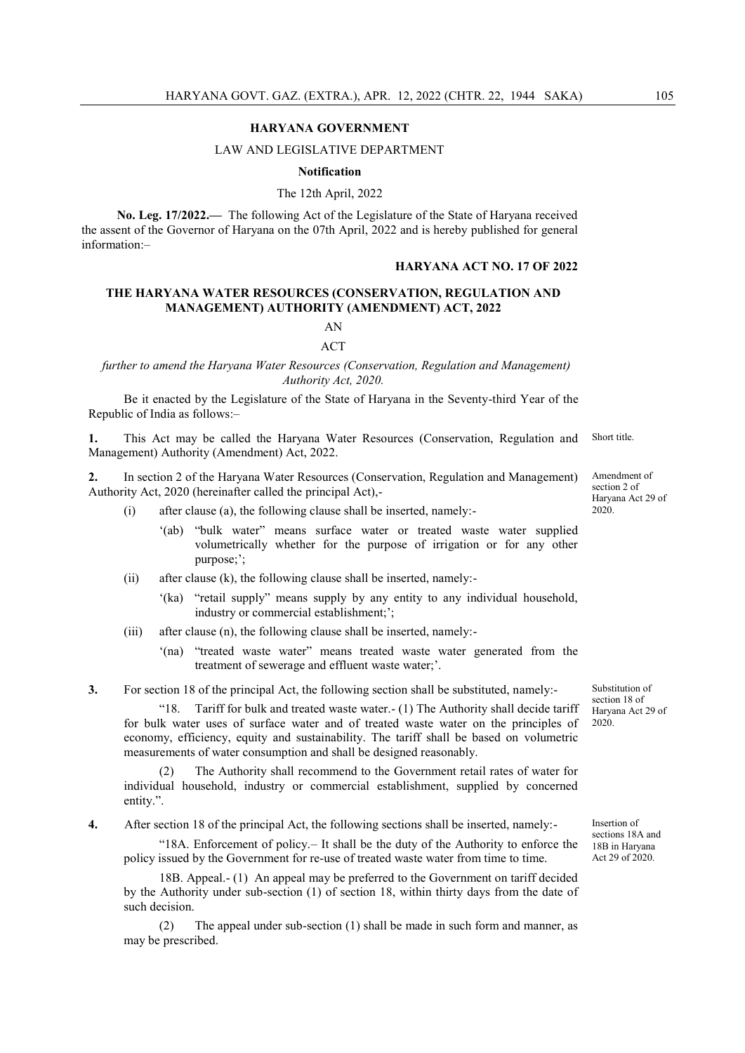#### **HARYANA GOVERNMENT**

#### LAW AND LEGISLATIVE DEPARTMENT

**Notification**

The 12th April, 2022

**No. Leg. 17/2022.—** The following Act of the Legislature of the State of Haryana received the assent of the Governor of Haryana on the 07th April, 2022 and is hereby published for general information:–

## **HARYANA ACT NO. 17 OF 2022**

## **THE HARYANA WATER RESOURCES (CONSERVATION, REGULATION AND MANAGEMENT) AUTHORITY (AMENDMENT) ACT, 2022**

# AN ACT

 *further to amend the Haryana Water Resources (Conservation, Regulation and Management) Authority Act, 2020.*

Be it enacted by the Legislature of the State of Haryana in the Seventy-third Year of the Republic of India as follows:–

**1.** This Act may be called the Haryana Water Resources (Conservation, Regulation and Management) Authority (Amendment) Act, 2022. Short title.

**2.** In section 2 of the Haryana Water Resources (Conservation, Regulation and Management) Authority Act, 2020 (hereinafter called the principal Act),-

- (i) after clause (a), the following clause shall be inserted, namely:-
	- ‗(ab) ―bulk water‖ means surface water or treated waste water supplied volumetrically whether for the purpose of irrigation or for any other purpose;';
- (ii) after clause (k), the following clause shall be inserted, namely:-
	- '(ka) "retail supply" means supply by any entity to any individual household, industry or commercial establishment;';
- (iii) after clause (n), the following clause shall be inserted, namely:-
	- '(na) "treated waste water" means treated waste water generated from the treatment of sewerage and effluent waste water;'.

**3.** For section 18 of the principal Act, the following section shall be substituted, namely:-

―18. Tariff for bulk and treated waste water.- (1) The Authority shall decide tariff for bulk water uses of surface water and of treated waste water on the principles of economy, efficiency, equity and sustainability. The tariff shall be based on volumetric measurements of water consumption and shall be designed reasonably.

The Authority shall recommend to the Government retail rates of water for individual household, industry or commercial establishment, supplied by concerned entity.".

**4.** After section 18 of the principal Act, the following sections shall be inserted, namely:-

―18A. Enforcement of policy.– It shall be the duty of the Authority to enforce the policy issued by the Government for re-use of treated waste water from time to time.

18B. Appeal.- (1) An appeal may be preferred to the Government on tariff decided by the Authority under sub-section (1) of section 18, within thirty days from the date of such decision.

The appeal under sub-section (1) shall be made in such form and manner, as may be prescribed.

section 2 of Haryana Act 29 of 2020.

Amendment of

Substitution of section 18 of Haryana Act 29 of 2020.

Insertion of sections 18A and 18B in Haryana Act 29 of 2020.